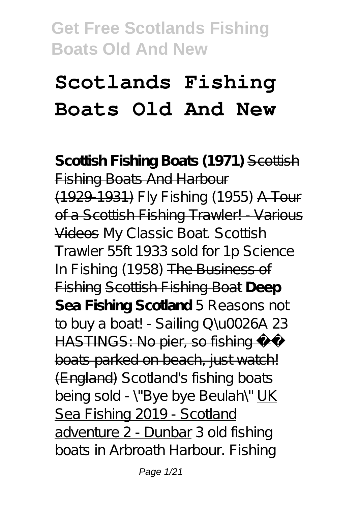# **Scotlands Fishing Boats Old And New**

**Scottish Fishing Boats (1971)** Scottish **Fishing Boats And Harbour** (1929-1931) *Fly Fishing (1955)* A Tour of a Scottish Fishing Trawler! - Various Videos My Classic Boat. Scottish Trawler 55ft 1933 sold for 1p *Science In Fishing (1958)* The Business of Fishing Scottish Fishing Boat **Deep Sea Fishing Scotland** *5 Reasons not to buy a boat! - Sailing Q\u0026A 23* HASTINGS: No pier, so fishing boats parked on beach, just watch! (England) Scotland's fishing boats being sold - \"Bye bye Beulah\" UK Sea Fishing 2019 - Scotland adventure 2 - Dunbar 3 old fishing boats in Arbroath Harbour. Fishing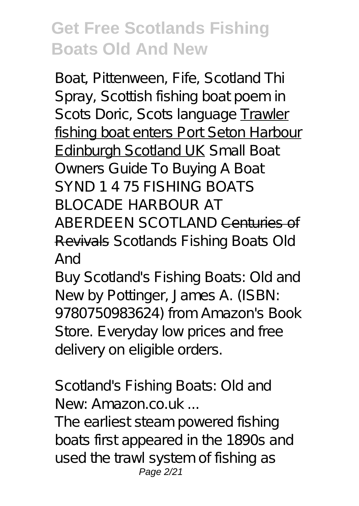Boat, Pittenween, Fife, Scotland Thi Spray, Scottish fishing boat poem in Scots Doric, Scots language Trawler fishing boat enters Port Seton Harbour Edinburgh Scotland UK *Small Boat Owners Guide To Buying A Boat* SYND 1 4 75 FISHING BOATS BLOCADE HARBOUR AT ABERDEEN SCOTLAND Centuries of Revivals *Scotlands Fishing Boats Old And*

Buy Scotland's Fishing Boats: Old and New by Pottinger, James A. (ISBN: 9780750983624) from Amazon's Book Store. Everyday low prices and free delivery on eligible orders.

#### *Scotland's Fishing Boats: Old and New: Amazon.co.uk ...*

The earliest steam powered fishing boats first appeared in the 1890s and used the trawl system of fishing as Page 2/21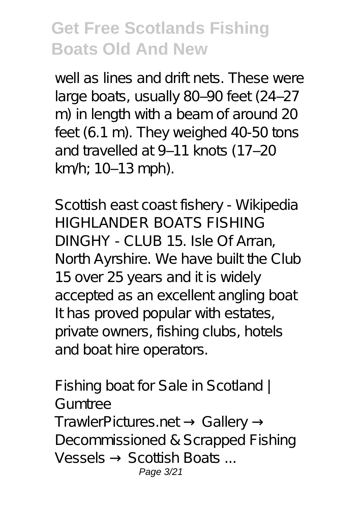well as lines and drift nets. These were large boats, usually 80-90 feet (24-27 m) in length with a beam of around 20 feet (6.1 m). They weighed 40-50 tons and travelled at 9-11 knots (17-20 km/h; 10–13 mph).

*Scottish east coast fishery - Wikipedia* HIGHLANDER BOATS FISHING DINGHY - CLUB 15. Isle Of Arran, North Ayrshire. We have built the Club 15 over 25 years and it is widely accepted as an excellent angling boat It has proved popular with estates, private owners, fishing clubs, hotels and boathire operators.

*Fishing boat for Sale in Scotland | Gumtree* TrawlerPictures.net Gallery Decommissioned & Scrapped Fishing Vessels Scottish Boats ... Page 3/21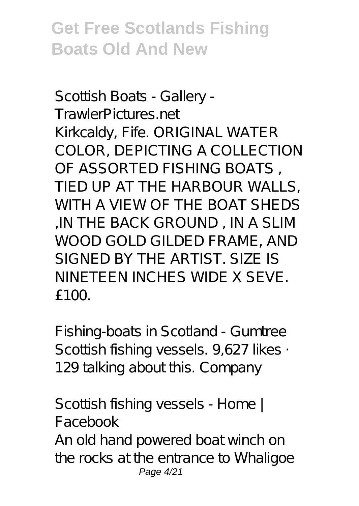*Scottish Boats - Gallery - TrawlerPictures.net* Kirkcaldy, Fife. ORIGINAL WATER COLOR, DEPICTING A COLLECTION OF ASSORTED FISHING BOATS , TIED UP AT THE HARBOUR WALLS, WITH A VIEW OF THE BOAT SHEDS ,IN THE BACK GROUND , IN A SLIM WOOD GOLD GILDED FRAME, AND SIGNED BY THE ARTIST. SIZE IS NINETEEN INCHES WIDE X SEVE. £100.

*Fishing-boats in Scotland - Gumtree* Scottish fishing vessels. 9,627 likes · 129 talking about this. Company

*Scottish fishing vessels - Home | Facebook* An old hand powered boat winch on the rocks at the entrance to Whaligoe Page 4/21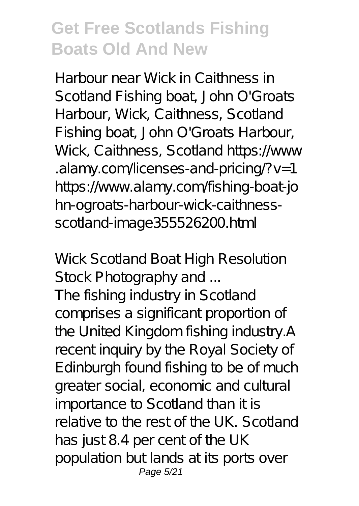Harbour near Wick in Caithness in Scotland Fishing boat, John O'Groats Harbour, Wick, Caithness, Scotland Fishing boat, John O'Groats Harbour, Wick, Caithness, Scotland https://www .alamy.com/licenses-and-pricing/?v=1 https://www.alamy.com/fishing-boat-jo hn-ogroats-harbour-wick-caithnessscotland-image355526200.html

#### *Wick Scotland Boat High Resolution Stock Photography and ...*

The fishing industry in Scotland comprises a significant proportion of the United Kingdom fishing industry.A recent inquiry by the Royal Society of Edinburgh found fishing to be of much greater social, economic and cultural importance to Scotland than it is relative to the rest of the UK. Scotland has just 8.4 per cent of the UK population but lands at its ports over Page 5/21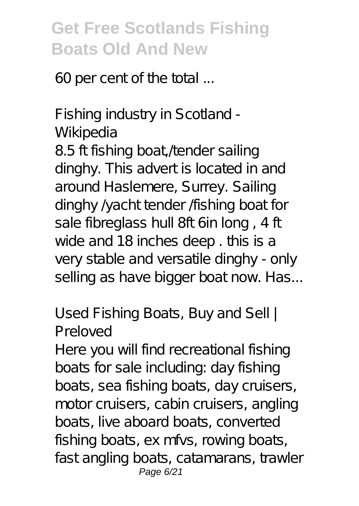60 per cent of the total ...

#### *Fishing industry in Scotland - Wikipedia*

8.5 ft fishing boat, /tender sailing dinghy. This advert is located in and around Haslemere, Surrey. Sailing dinghy  $\sqrt{a}$ cht tender *f*ishing boat for sale fibreglass hull 8ft 6in long , 4 ft wide and 18 inches deep . this is a very stable and versatile dinghy - only selling as have bigger boat now. Has...

#### *Used Fishing Boats, Buy and Sell | Preloved*

Here you will find recreational fishing boats for sale including: day fishing boats, sea fishing boats, day cruisers, motor cruisers, cabin cruisers, angling boats, live aboard boats, converted fishing boats, ex mfvs, rowing boats, fast angling boats, catamarans, trawler Page 6/21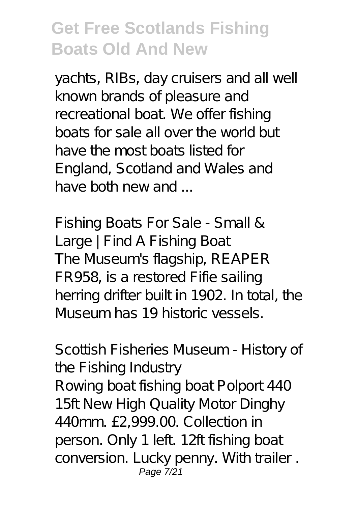yachts, RIBs, day cruisers and all well known brands of pleasure and recreational boat. We offer fishing boats for sale all over the world but have the most boats listed for England, Scotland and Wales and have both new and

*Fishing Boats For Sale - Small & Large | Find A Fishing Boat* The Museum's flagship, REAPER FR958, is a restored Fifie sailing herring drifter built in 1902. In total, the Museum has 19 historic vessels.

#### *Scottish Fisheries Museum - History of the Fishing Industry*

Rowing boat fishing boat Polport 440 15ft New High Quality Motor Dinghy 440mm. £2,999.00. Collection in person. Only 1 left. 12ft fishing boat conversion. Lucky penny. With trailer . Page 7/21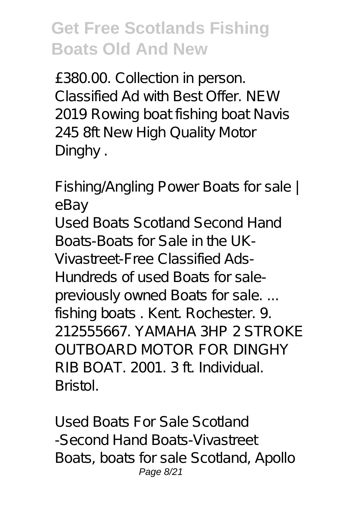£380.00. Collection in person. Classified Ad with Best Offer. NEW 2019 Rowing boat fishing boat Navis 245 8ft New High Quality Motor Dinghy .

*Fishing/Angling Power Boats for sale | eBay*

Used Boats Scotland Second Hand Boats-Boats for Sale in the UK-Vivastreet-Free Classified Ads-Hundreds of used Boats for salepreviously owned Boats for sale... fishing boats. Kent. Rochester. 9. 212555667. YAMAHA 3HP 2 STROKE OUTBOARD MOTOR FOR DINGHY RIB BOAT. 2001. 3 ft. Individual. Bristol.

*Used Boats For Sale Scotland -Second Hand Boats-Vivastreet* Boats, boats for sale Scotland, Apollo Page 8/21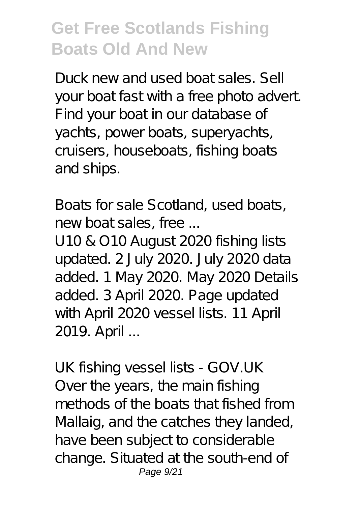Duck new and used boat sales. Sell your boat fast with a free photo advert. Find your boat in our database of yachts, power boats, superyachts, cruisers, houseboats, fishing boats and ships.

*Boats for sale Scotland, used boats, new boat sales, free ...*

U10 & O10 August 2020 fishing lists updated. 2 July 2020. July 2020 data added. 1 May 2020. May 2020 Details added. 3 April 2020. Page updated with April 2020 vessel lists. 11 April 2019. April ...

*UK fishing vessel lists - GOV.UK* Over the years, the main fishing methods of the boats that fished from Mallaig, and the catches they landed, have been subject to considerable change. Situated at the south-end of Page 9/21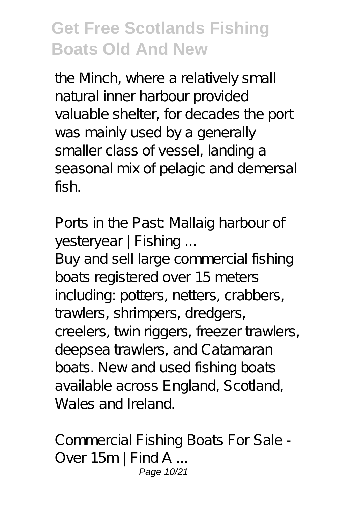the Minch, where a relatively small natural inner harbour provided valuable shelter, for decades the port was mainly used by a generally smaller class of vessel, landing a seasonal mix of pelagic and demersal fish.

*Ports in the Past: Mallaig harbour of yesteryear | Fishing ...*

Buy and sell large commercial fishing boats registered over 15 meters including: potters, netters, crabbers, trawlers, shrimpers, dredgers, creelers, twin riggers, freezer trawlers, deepsea trawlers, and Catamaran boats. New and used fishing boats available across England, Scotland, Wales and Ireland.

*Commercial Fishing Boats For Sale - Over 15m | Find A ...* Page 10/21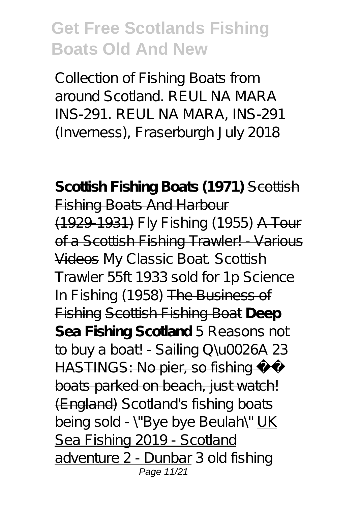Collection of Fishing Boats from around Scotland. REUL NA MARA INS-291. REUL NA MARA, INS-291 (Inverness), Fraserburgh July 2018

Scottish Fishing Boats (1971) Scottish Fishing Boats And Harbour (1929-1931) *Fly Fishing (1955)* A Tour of a Scottish Fishing Trawler! Various Videos My Classic Boat. Scottish Trawler 55ft 1933 sold for 1p *Science In Fishing (1958)* The Business of Fishing Scottish Fishing Boat **Deep Sea Fishing Scotland** *5 Reasons not to buy a boat! - Sailing Q\u0026A 23* HASTINGS: No pier, so fishing boats parked on beach, just watch! (England) Scotland's fishing boats being sold - \"Bye bye Beulah\" UK Sea Fishing 2019 - Scotland adventure 2 - Dunbar 3 old fishing Page 11/21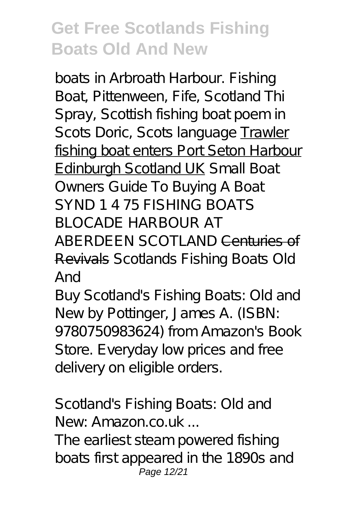boats in Arbroath Harbour. Fishing Boat, Pittenween, Fife, Scotland Thi Spray, Scottish fishing boat poem in Scots Doric, Scots language Trawler fishing boat enters Port Seton Harbour Edinburgh Scotland UK *Small Boat Owners Guide To Buying A Boat* SYND 1 4 75 FISHING BOATS BLOCADE HARBOUR AT ABERDEEN SCOTLAND Centuries of Revivals *Scotlands Fishing Boats Old And*

Buy Scotland's Fishing Boats: Old and New by Pottinger, James A. (ISBN: 9780750983624) from Amazon's Book Store. Everyday low prices and free delivery on eligible orders.

*Scotland's Fishing Boats: Old and New: Amazon.co.uk ...*

The earliest steam powered fishing boats first appeared in the 1890s and Page 12/21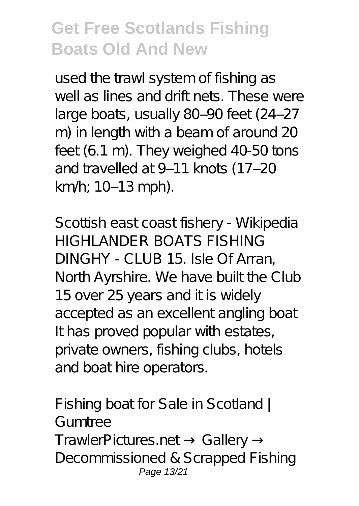used the trawl system of fishing as well as lines and drift nets. These were large boats, usually 80-90 feet (24-27 m) in length with a beam of around 20 feet (6.1 m). They weighed 40-50 tons and travelled at 9-11 knots (17-20 km/h; 10–13 mph).

*Scottish east coast fishery - Wikipedia* HIGHLANDER BOATS FISHING DINGHY - CLUB 15. Isle Of Arran, North Ayrshire. We have built the Club 15 over 25 years and it is widely accepted as an excellent angling boat It has proved popular with estates, private owners, fishing clubs, hotels and boat hire operators.

*Fishing boat for Sale in Scotland | Gumtree* TrawlerPictures.net Gallery Decommissioned & Scrapped Fishing Page 13/21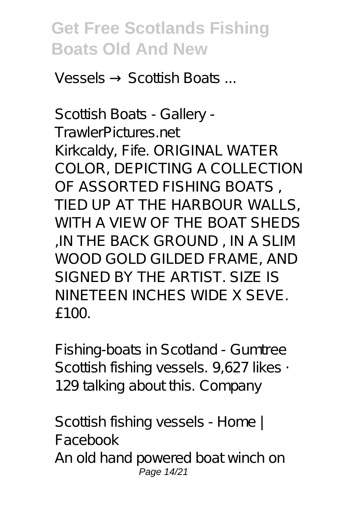Vessels → Scottish Boats ...

*Scottish Boats - Gallery - TrawlerPictures.net* Kirkcaldy, Fife. ORIGINAL WATER COLOR, DEPICTING A COLLECTION OF ASSORTED FISHING BOATS , TIED UP AT THE HARBOUR WALLS, WITH A VIEW OF THE BOAT SHEDS ,IN THE BACK GROUND , IN A SLIM WOOD GOLD GILDED FRAME, AND SIGNED BY THE ARTIST. SIZE IS NINETEEN INCHES WIDE X SEVE.  $f100$ 

*Fishing-boats in Scotland - Gumtree* Scottish fishing vessels. 9,627 likes · 129 talking about this. Company

*Scottish fishing vessels - Home | Facebook* An old hand powered boat winch on Page 14/21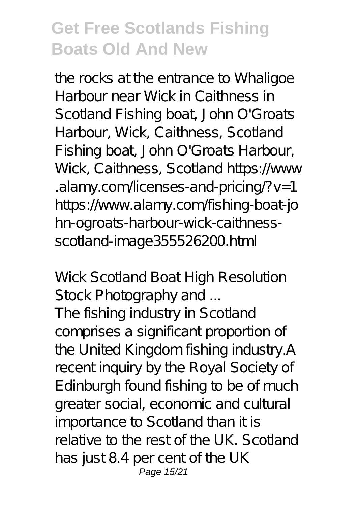the rocks at the entrance to Whaligoe Harbour near Wick in Caithness in Scotland Fishing boat, John O'Groats Harbour, Wick, Caithness, Scotland Fishing boat, John O'Groats Harbour, Wick, Caithness, Scotland https://www .alamy.com/licenses-and-pricing/?v=1 https://www.alamy.com/fishing-boat-jo hn-ogroats-harbour-wick-caithnessscotland-image355526200.html

#### *Wick Scotland Boat High Resolution Stock Photography and ...*

The fishing industry in Scotland comprises a significant proportion of the United Kingdom fishing industry.A recent inquiry by the Royal Society of Edinburgh found fishing to be of much greater social, economic and cultural importance to Scotland than it is relative to the rest of the UK. Scotland has just 8.4 per cent of the UK Page 15/21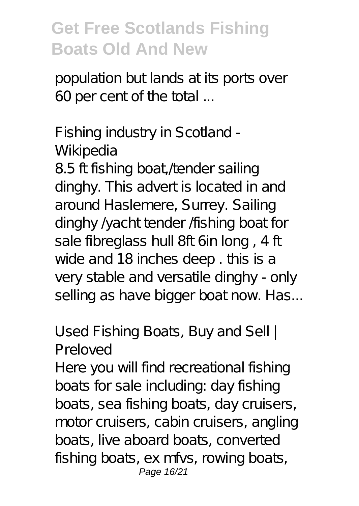population but lands at its ports over 60 per cent of the total ...

#### *Fishing industry in Scotland - Wikipedia*

8.5 ft fishing boat, /tender sailing dinghy. This advert is located in and around Haslemere, Surrey. Sailing dinghy  $\sqrt{2}$ acht tender *f*ishing boat for sale fibreglass hull 8ft 6in long , 4 ft wide and 18 inches deep . this is a very stable and versatile dinghy - only selling as have bigger boat now. Has...

#### *Used Fishing Boats, Buy and Sell | Preloved*

Here you will find recreational fishing boats for sale including: day fishing boats, sea fishing boats, day cruisers, motor cruisers, cabin cruisers, angling boats, live aboard boats, converted fishing boats, ex mfvs, rowing boats, Page 16/21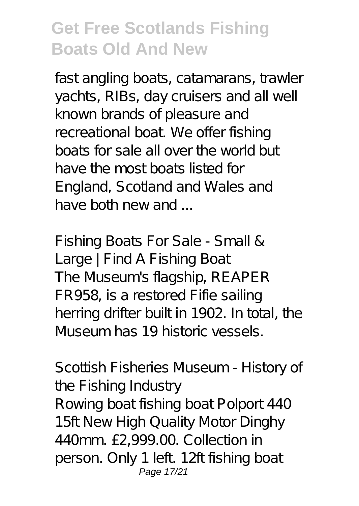fast angling boats, catamarans, trawler yachts, RIBs, day cruisers and all well known brands of pleasure and recreational boat. We offer fishing boats for sale all over the world but have the most boats listed for England, Scotland and Wales and have both new and

*Fishing Boats For Sale - Small & Large | Find A Fishing Boat* The Museum's flagship, REAPER FR958, is a restored Fifie sailing herring drifter built in 1902. In total, the Museum has 19 historic vessels.

#### *Scottish Fisheries Museum - History of the Fishing Industry*

Rowing boat fishing boat Polport 440 15ft New High Quality Motor Dinghy 440mm. £2,999.00. Collection in person. Only 1 left. 12ft fishing boat Page 17/21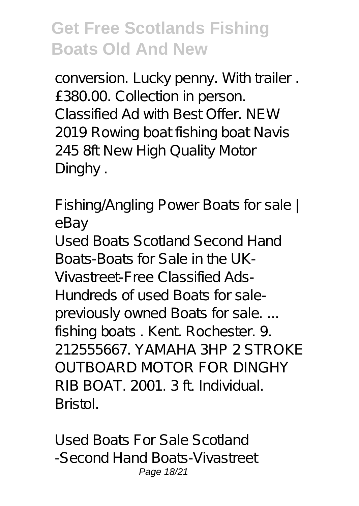conversion. Lucky penny. With trailer. £380.00. Collection in person. Classified Ad with Best Offer. NEW 2019 Rowing boat fishing boat Navis 245 8ft New High Quality Motor Dinghy .

*Fishing/Angling Power Boats for sale | eBay*

Used Boats Scotland Second Hand Boats-Boats for Sale in the UK-Vivastreet-Free Classified Ads-Hundreds of used Boats for salepreviously owned Boats for sale... fishing boats. Kent. Rochester. 9. 212555667. YAMAHA 3HP 2 STROKE OUTBOARD MOTOR FOR DINGHY RIB BOAT. 2001. 3 ft. Individual. Bristol.

*Used Boats For Sale Scotland -Second Hand Boats-Vivastreet* Page 18/21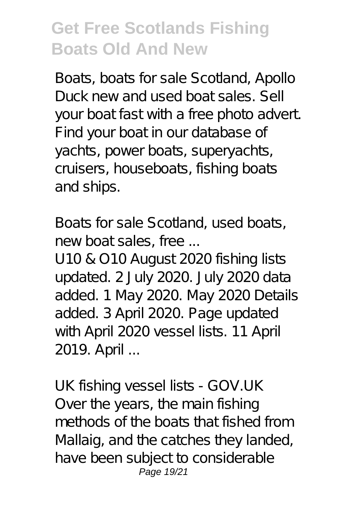Boats, boats for sale Scotland, Apollo Duck new and used boat sales. Sell your boat fast with a free photo advert. Find your boat in our database of yachts, power boats, superyachts, cruisers, houseboats, fishing boats and ships.

*Boats for sale Scotland, used boats, new boat sales, free ...*

U10 & O10 August 2020 fishing lists updated. 2 July 2020. July 2020 data added. 1 May 2020. May 2020 Details added. 3 April 2020. Page updated with April 2020 vessel lists. 11 April 2019. April ...

*UK fishing vessel lists - GOV.UK* Over the years, the main fishing methods of the boats that fished from Mallaig, and the catches they landed, have been subject to considerable Page 19/21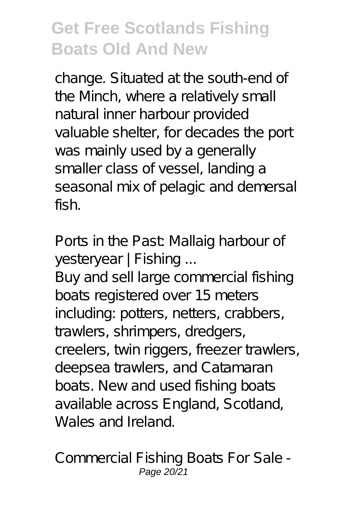change. Situated at the south-end of the Minch, where a relatively small natural inner harbour provided valuable shelter, for decades the port was mainly used by a generally smaller class of vessel, landing a seasonal mix of pelagic and demersal fish.

*Ports in the Past: Mallaig harbour of yesteryear | Fishing ...*

Buy and sell large commercial fishing boats registered over 15 meters including: potters, netters, crabbers, trawlers, shrimpers, dredgers, creelers, twin riggers, freezer trawlers, deepsea trawlers, and Catamaran boats. New and used fishing boats available across England, Scotland, Wales and Ireland.

*Commercial Fishing Boats For Sale -* Page 20/21